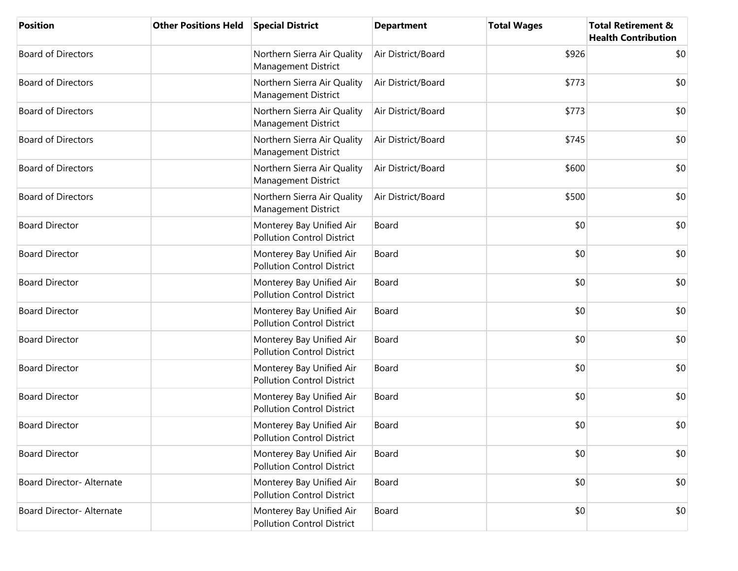| <b>Position</b>           | <b>Other Positions Held</b> | <b>Special District</b>                                       | <b>Department</b>  | <b>Total Wages</b> | <b>Total Retirement &amp;</b><br><b>Health Contribution</b> |
|---------------------------|-----------------------------|---------------------------------------------------------------|--------------------|--------------------|-------------------------------------------------------------|
| <b>Board of Directors</b> |                             | Northern Sierra Air Quality<br>Management District            | Air District/Board | \$926              | \$0                                                         |
| <b>Board of Directors</b> |                             | Northern Sierra Air Quality<br>Management District            | Air District/Board | \$773              | \$0                                                         |
| <b>Board of Directors</b> |                             | Northern Sierra Air Quality<br>Management District            | Air District/Board | \$773              | \$0                                                         |
| <b>Board of Directors</b> |                             | Northern Sierra Air Quality<br>Management District            | Air District/Board | \$745              | \$0                                                         |
| <b>Board of Directors</b> |                             | Northern Sierra Air Quality<br>Management District            | Air District/Board | \$600              | \$0                                                         |
| <b>Board of Directors</b> |                             | Northern Sierra Air Quality<br>Management District            | Air District/Board | \$500              | \$0                                                         |
| <b>Board Director</b>     |                             | Monterey Bay Unified Air<br><b>Pollution Control District</b> | Board              | \$0                | \$0                                                         |
| <b>Board Director</b>     |                             | Monterey Bay Unified Air<br><b>Pollution Control District</b> | Board              | \$0                | \$0                                                         |
| <b>Board Director</b>     |                             | Monterey Bay Unified Air<br><b>Pollution Control District</b> | Board              | \$0                | \$0                                                         |
| <b>Board Director</b>     |                             | Monterey Bay Unified Air<br><b>Pollution Control District</b> | Board              | \$0                | \$0                                                         |
| <b>Board Director</b>     |                             | Monterey Bay Unified Air<br><b>Pollution Control District</b> | Board              | \$0                | \$0                                                         |
| <b>Board Director</b>     |                             | Monterey Bay Unified Air<br><b>Pollution Control District</b> | Board              | \$0                | \$0                                                         |
| <b>Board Director</b>     |                             | Monterey Bay Unified Air<br><b>Pollution Control District</b> | Board              | \$0                | \$0                                                         |
| <b>Board Director</b>     |                             | Monterey Bay Unified Air<br><b>Pollution Control District</b> | Board              | \$0                | \$0                                                         |
| <b>Board Director</b>     |                             | Monterey Bay Unified Air<br><b>Pollution Control District</b> | Board              | \$0                | \$0                                                         |
| Board Director- Alternate |                             | Monterey Bay Unified Air<br><b>Pollution Control District</b> | Board              | \$0                | \$0                                                         |
| Board Director- Alternate |                             | Monterey Bay Unified Air<br><b>Pollution Control District</b> | Board              | \$0                | \$0                                                         |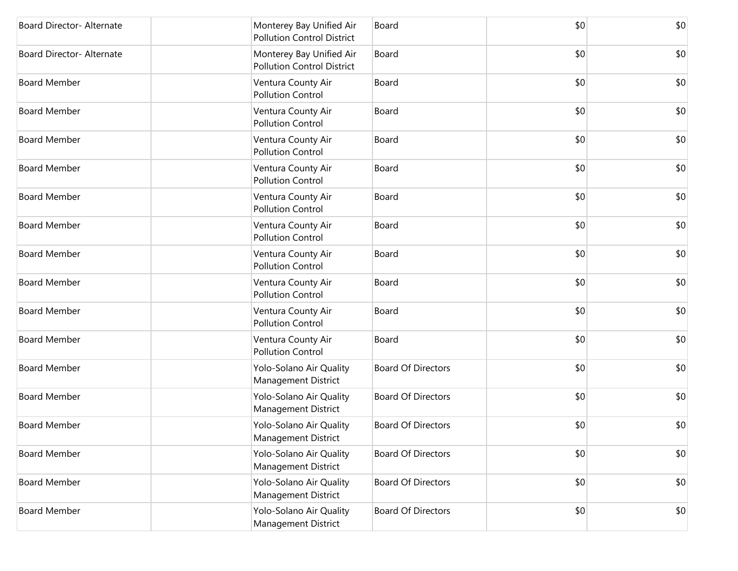| Board Director- Alternate | Monterey Bay Unified Air<br><b>Pollution Control District</b> | Board                     | \$0 | \$0 |
|---------------------------|---------------------------------------------------------------|---------------------------|-----|-----|
| Board Director- Alternate | Monterey Bay Unified Air<br><b>Pollution Control District</b> | Board                     | \$0 | \$0 |
| <b>Board Member</b>       | Ventura County Air<br><b>Pollution Control</b>                | Board                     | \$0 | \$0 |
| <b>Board Member</b>       | Ventura County Air<br><b>Pollution Control</b>                | Board                     | \$0 | \$0 |
| <b>Board Member</b>       | Ventura County Air<br><b>Pollution Control</b>                | Board                     | \$0 | \$0 |
| <b>Board Member</b>       | Ventura County Air<br><b>Pollution Control</b>                | Board                     | \$0 | \$0 |
| <b>Board Member</b>       | Ventura County Air<br><b>Pollution Control</b>                | Board                     | \$0 | \$0 |
| <b>Board Member</b>       | Ventura County Air<br><b>Pollution Control</b>                | Board                     | \$0 | \$0 |
| <b>Board Member</b>       | Ventura County Air<br><b>Pollution Control</b>                | Board                     | \$0 | \$0 |
| <b>Board Member</b>       | Ventura County Air<br><b>Pollution Control</b>                | Board                     | \$0 | \$0 |
| <b>Board Member</b>       | Ventura County Air<br><b>Pollution Control</b>                | Board                     | \$0 | \$0 |
| <b>Board Member</b>       | Ventura County Air<br><b>Pollution Control</b>                | Board                     | \$0 | \$0 |
| <b>Board Member</b>       | Yolo-Solano Air Quality<br>Management District                | <b>Board Of Directors</b> | \$0 | \$0 |
| <b>Board Member</b>       | Yolo-Solano Air Quality<br>Management District                | <b>Board Of Directors</b> | \$0 | \$0 |
| <b>Board Member</b>       | Yolo-Solano Air Quality<br><b>Management District</b>         | <b>Board Of Directors</b> | \$0 | \$0 |
| <b>Board Member</b>       | Yolo-Solano Air Quality<br>Management District                | <b>Board Of Directors</b> | \$0 | \$0 |
| <b>Board Member</b>       | Yolo-Solano Air Quality<br>Management District                | <b>Board Of Directors</b> | \$0 | \$0 |
| <b>Board Member</b>       | Yolo-Solano Air Quality<br>Management District                | <b>Board Of Directors</b> | \$0 | \$0 |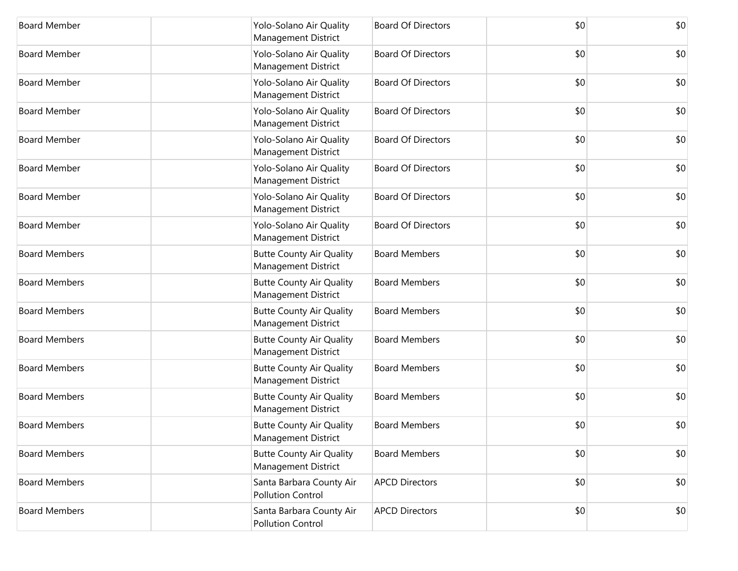| <b>Board Member</b>  | Yolo-Solano Air Quality<br>Management District                | <b>Board Of Directors</b> | \$0 | \$0 |
|----------------------|---------------------------------------------------------------|---------------------------|-----|-----|
| <b>Board Member</b>  | Yolo-Solano Air Quality<br>Management District                | <b>Board Of Directors</b> | \$0 | \$0 |
| <b>Board Member</b>  | Yolo-Solano Air Quality<br>Management District                | <b>Board Of Directors</b> | \$0 | \$0 |
| <b>Board Member</b>  | Yolo-Solano Air Quality<br>Management District                | <b>Board Of Directors</b> | \$0 | \$0 |
| <b>Board Member</b>  | Yolo-Solano Air Quality<br>Management District                | <b>Board Of Directors</b> | \$0 | \$0 |
| <b>Board Member</b>  | Yolo-Solano Air Quality<br>Management District                | <b>Board Of Directors</b> | \$0 | \$0 |
| <b>Board Member</b>  | Yolo-Solano Air Quality<br>Management District                | <b>Board Of Directors</b> | \$0 | \$0 |
| <b>Board Member</b>  | Yolo-Solano Air Quality<br>Management District                | <b>Board Of Directors</b> | \$0 | \$0 |
| <b>Board Members</b> | <b>Butte County Air Quality</b><br>Management District        | <b>Board Members</b>      | \$0 | \$0 |
| <b>Board Members</b> | <b>Butte County Air Quality</b><br>Management District        | <b>Board Members</b>      | \$0 | \$0 |
| <b>Board Members</b> | <b>Butte County Air Quality</b><br>Management District        | <b>Board Members</b>      | \$0 | \$0 |
| <b>Board Members</b> | <b>Butte County Air Quality</b><br>Management District        | <b>Board Members</b>      | \$0 | \$0 |
| <b>Board Members</b> | <b>Butte County Air Quality</b><br>Management District        | <b>Board Members</b>      | \$0 | \$0 |
| <b>Board Members</b> | <b>Butte County Air Quality</b><br>Management District        | <b>Board Members</b>      | \$0 | \$0 |
| <b>Board Members</b> | <b>Butte County Air Quality</b><br><b>Management District</b> | <b>Board Members</b>      | \$0 | \$0 |
| <b>Board Members</b> | <b>Butte County Air Quality</b><br>Management District        | <b>Board Members</b>      | \$0 | \$0 |
| <b>Board Members</b> | Santa Barbara County Air<br><b>Pollution Control</b>          | <b>APCD Directors</b>     | \$0 | \$0 |
| <b>Board Members</b> | Santa Barbara County Air<br><b>Pollution Control</b>          | <b>APCD Directors</b>     | \$0 | \$0 |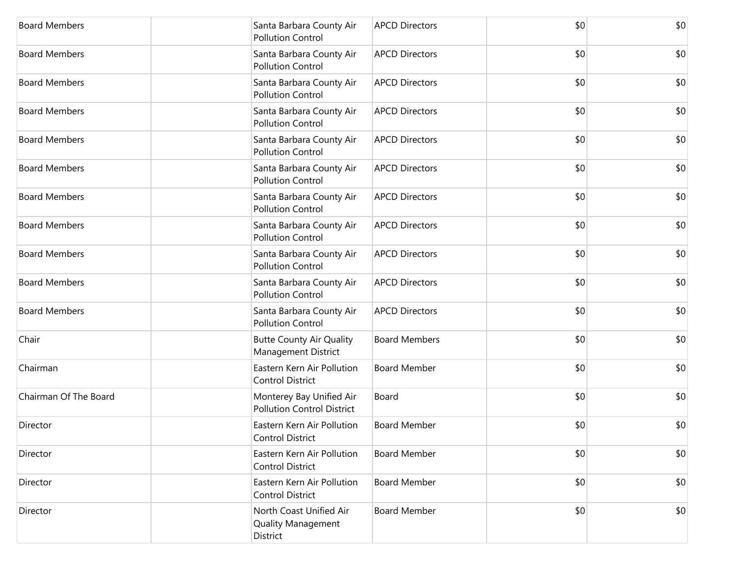| <b>Board Members</b>  | Santa Barbara County Air<br><b>Pollution Control</b>          | <b>APCD Directors</b> | \$0 | \$0 |
|-----------------------|---------------------------------------------------------------|-----------------------|-----|-----|
| <b>Board Members</b>  | Santa Barbara County Air<br><b>Pollution Control</b>          | <b>APCD Directors</b> | \$0 | \$0 |
| <b>Board Members</b>  | Santa Barbara County Air<br><b>Pollution Control</b>          | <b>APCD Directors</b> | \$0 | \$0 |
| <b>Board Members</b>  | Santa Barbara County Air<br><b>Pollution Control</b>          | <b>APCD Directors</b> | \$0 | \$0 |
| <b>Board Members</b>  | Santa Barbara County Air<br><b>Pollution Control</b>          | <b>APCD Directors</b> | \$0 | \$0 |
| <b>Board Members</b>  | Santa Barbara County Air<br><b>Pollution Control</b>          | <b>APCD Directors</b> | \$0 | \$0 |
| <b>Board Members</b>  | Santa Barbara County Air<br><b>Pollution Control</b>          | <b>APCD Directors</b> | \$0 | \$0 |
| <b>Board Members</b>  | Santa Barbara County Air<br><b>Pollution Control</b>          | <b>APCD Directors</b> | \$0 | \$0 |
| <b>Board Members</b>  | Santa Barbara County Air<br><b>Pollution Control</b>          | <b>APCD Directors</b> | \$0 | \$0 |
| <b>Board Members</b>  | Santa Barbara County Air<br><b>Pollution Control</b>          | <b>APCD Directors</b> | \$0 | \$0 |
| <b>Board Members</b>  | Santa Barbara County Air<br><b>Pollution Control</b>          | <b>APCD Directors</b> | \$0 | \$0 |
| Chair                 | <b>Butte County Air Quality</b><br>Management District        | <b>Board Members</b>  | \$0 | \$0 |
| Chairman              | Eastern Kern Air Pollution<br><b>Control District</b>         | <b>Board Member</b>   | \$0 | \$0 |
| Chairman Of The Board | Monterey Bay Unified Air<br><b>Pollution Control District</b> | Board                 | \$0 | \$0 |
| Director              | Eastern Kern Air Pollution<br><b>Control District</b>         | <b>Board Member</b>   | \$0 | \$0 |
| Director              | Eastern Kern Air Pollution<br><b>Control District</b>         | <b>Board Member</b>   | \$0 | \$0 |
| Director              | Eastern Kern Air Pollution<br><b>Control District</b>         | <b>Board Member</b>   | \$0 | \$0 |
| Director              | North Coast Unified Air<br>Quality Management<br>District     | <b>Board Member</b>   | \$0 | \$0 |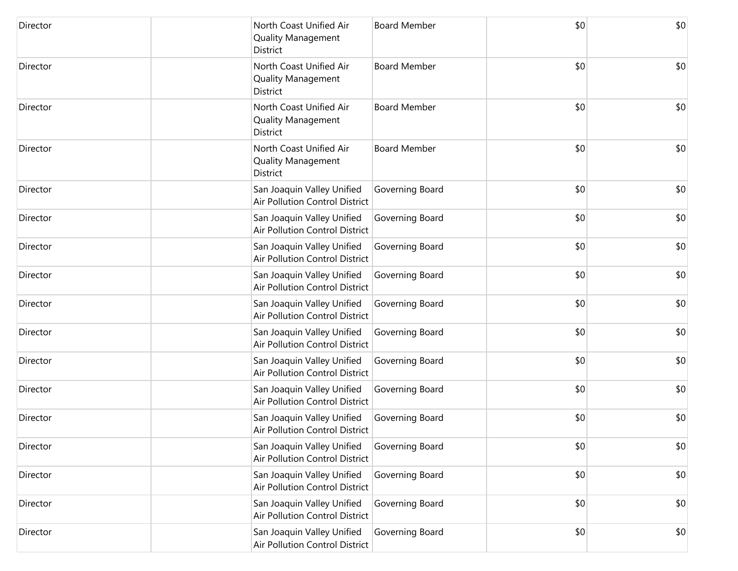| Director | North Coast Unified Air<br><b>Quality Management</b><br>District    | <b>Board Member</b> | \$0 | \$0 |
|----------|---------------------------------------------------------------------|---------------------|-----|-----|
| Director | North Coast Unified Air<br><b>Quality Management</b><br>District    | <b>Board Member</b> | \$0 | \$0 |
| Director | North Coast Unified Air<br><b>Quality Management</b><br>District    | <b>Board Member</b> | \$0 | \$0 |
| Director | North Coast Unified Air<br><b>Quality Management</b><br>District    | <b>Board Member</b> | \$0 | \$0 |
| Director | San Joaquin Valley Unified<br>Air Pollution Control District        | Governing Board     | \$0 | \$0 |
| Director | San Joaquin Valley Unified<br>Air Pollution Control District        | Governing Board     | \$0 | \$0 |
| Director | San Joaquin Valley Unified<br><b>Air Pollution Control District</b> | Governing Board     | \$0 | \$0 |
| Director | San Joaquin Valley Unified<br><b>Air Pollution Control District</b> | Governing Board     | \$0 | \$0 |
| Director | San Joaquin Valley Unified<br><b>Air Pollution Control District</b> | Governing Board     | \$0 | \$0 |
| Director | San Joaquin Valley Unified<br><b>Air Pollution Control District</b> | Governing Board     | \$0 | \$0 |
| Director | San Joaquin Valley Unified<br><b>Air Pollution Control District</b> | Governing Board     | \$0 | \$0 |
| Director | San Joaquin Valley Unified<br>Air Pollution Control District        | Governing Board     | \$0 | \$0 |
| Director | San Joaquin Valley Unified<br>Air Pollution Control District        | Governing Board     | \$0 | \$0 |
| Director | San Joaquin Valley Unified<br><b>Air Pollution Control District</b> | Governing Board     | \$0 | \$0 |
| Director | San Joaquin Valley Unified<br>Air Pollution Control District        | Governing Board     | \$0 | \$0 |
| Director | San Joaquin Valley Unified<br><b>Air Pollution Control District</b> | Governing Board     | \$0 | \$0 |
| Director | San Joaquin Valley Unified<br>Air Pollution Control District        | Governing Board     | \$0 | \$0 |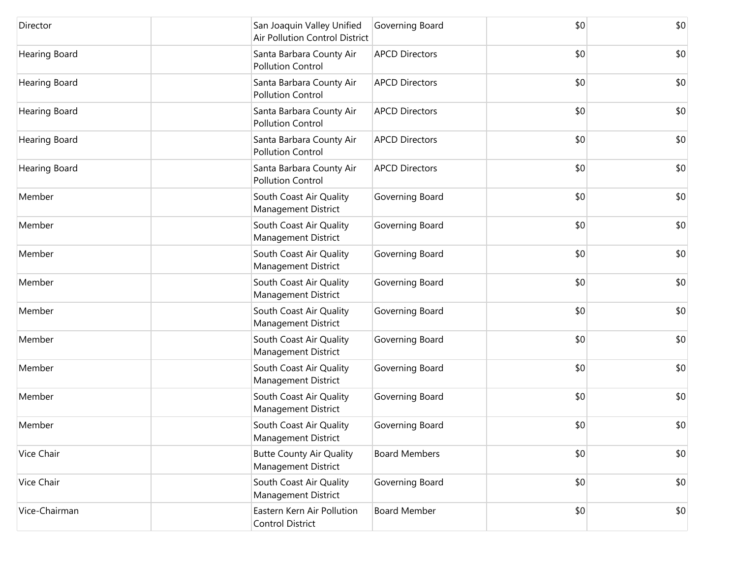| Director             | San Joaquin Valley Unified<br>Air Pollution Control District | Governing Board       | \$0 | \$0 |
|----------------------|--------------------------------------------------------------|-----------------------|-----|-----|
| Hearing Board        | Santa Barbara County Air<br><b>Pollution Control</b>         | <b>APCD Directors</b> | \$0 | \$0 |
| <b>Hearing Board</b> | Santa Barbara County Air<br><b>Pollution Control</b>         | <b>APCD Directors</b> | \$0 | \$0 |
| Hearing Board        | Santa Barbara County Air<br><b>Pollution Control</b>         | <b>APCD Directors</b> | \$0 | \$0 |
| Hearing Board        | Santa Barbara County Air<br><b>Pollution Control</b>         | <b>APCD Directors</b> | \$0 | \$0 |
| Hearing Board        | Santa Barbara County Air<br><b>Pollution Control</b>         | <b>APCD Directors</b> | \$0 | \$0 |
| Member               | South Coast Air Quality<br><b>Management District</b>        | Governing Board       | \$0 | \$0 |
| Member               | South Coast Air Quality<br>Management District               | Governing Board       | \$0 | \$0 |
| Member               | South Coast Air Quality<br>Management District               | Governing Board       | \$0 | \$0 |
| Member               | South Coast Air Quality<br><b>Management District</b>        | Governing Board       | \$0 | \$0 |
| Member               | South Coast Air Quality<br>Management District               | Governing Board       | \$0 | \$0 |
| Member               | South Coast Air Quality<br><b>Management District</b>        | Governing Board       | \$0 | \$0 |
| Member               | South Coast Air Quality<br><b>Management District</b>        | Governing Board       | \$0 | \$0 |
| Member               | South Coast Air Quality<br><b>Management District</b>        | Governing Board       | \$0 | \$0 |
| Member               | South Coast Air Quality<br><b>Management District</b>        | Governing Board       | \$0 | \$0 |
| Vice Chair           | <b>Butte County Air Quality</b><br>Management District       | <b>Board Members</b>  | \$0 | \$0 |
| Vice Chair           | South Coast Air Quality<br>Management District               | Governing Board       | \$0 | \$0 |
| Vice-Chairman        | Eastern Kern Air Pollution<br><b>Control District</b>        | <b>Board Member</b>   | \$0 | \$0 |